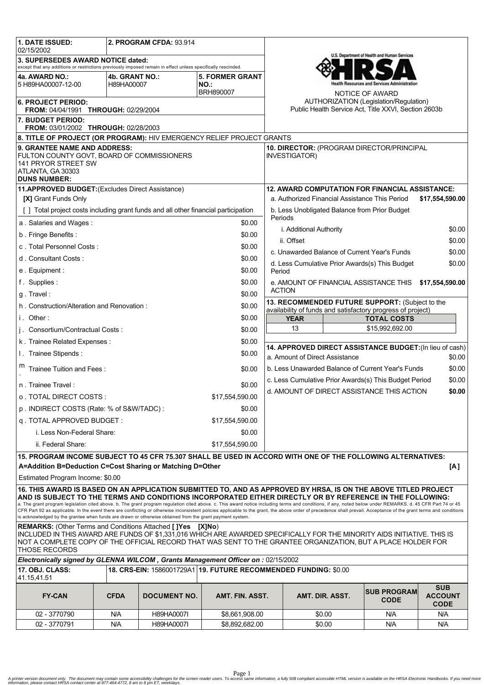| 1. DATE ISSUED:                                                                                                                                                                                                                                                                                                                                                                                                                            | <b>2. PROGRAM CFDA: 93.914</b> |                     |                                       |                                                             |                                                                                                                                |  |                                                |                                             |  |
|--------------------------------------------------------------------------------------------------------------------------------------------------------------------------------------------------------------------------------------------------------------------------------------------------------------------------------------------------------------------------------------------------------------------------------------------|--------------------------------|---------------------|---------------------------------------|-------------------------------------------------------------|--------------------------------------------------------------------------------------------------------------------------------|--|------------------------------------------------|---------------------------------------------|--|
| 02/15/2002                                                                                                                                                                                                                                                                                                                                                                                                                                 |                                |                     |                                       |                                                             | U.S. Department of Health and Human Services                                                                                   |  |                                                |                                             |  |
| 3. SUPERSEDES AWARD NOTICE dated:<br>except that any additions or restrictions previously imposed remain in effect unless specifically rescinded.                                                                                                                                                                                                                                                                                          |                                |                     |                                       |                                                             |                                                                                                                                |  |                                                |                                             |  |
| 4a. AWARD NO.:<br>5 H89HA00007-12-00                                                                                                                                                                                                                                                                                                                                                                                                       | 4b. GRANT NO.:<br>H89HA00007   |                     | <b>5. FORMER GRANT</b><br><b>NO.:</b> | lealth Resources and Services Administration                |                                                                                                                                |  |                                                |                                             |  |
| BRH890007<br><b>6. PROJECT PERIOD:</b><br>FROM: 04/04/1991 THROUGH: 02/29/2004                                                                                                                                                                                                                                                                                                                                                             |                                |                     |                                       |                                                             | NOTICE OF AWARD<br>AUTHORIZATION (Legislation/Regulation)<br>Public Health Service Act, Title XXVI, Section 2603b              |  |                                                |                                             |  |
| 7. BUDGET PERIOD:                                                                                                                                                                                                                                                                                                                                                                                                                          |                                |                     |                                       |                                                             |                                                                                                                                |  |                                                |                                             |  |
| FROM: 03/01/2002 THROUGH: 02/28/2003                                                                                                                                                                                                                                                                                                                                                                                                       |                                |                     |                                       |                                                             |                                                                                                                                |  |                                                |                                             |  |
| 8. TITLE OF PROJECT (OR PROGRAM): HIV EMERGENCY RELIEF PROJECT GRANTS                                                                                                                                                                                                                                                                                                                                                                      |                                |                     |                                       |                                                             |                                                                                                                                |  |                                                |                                             |  |
| 9. GRANTEE NAME AND ADDRESS:<br>FULTON COUNTY GOVT, BOARD OF COMMISSIONERS<br>141 PRYOR STREET SW<br>ATLANTA, GA 30303<br><b>DUNS NUMBER:</b>                                                                                                                                                                                                                                                                                              |                                |                     |                                       |                                                             | 10. DIRECTOR: (PROGRAM DIRECTOR/PRINCIPAL<br><b>INVESTIGATOR)</b>                                                              |  |                                                |                                             |  |
| 11.APPROVED BUDGET: (Excludes Direct Assistance)                                                                                                                                                                                                                                                                                                                                                                                           |                                |                     |                                       |                                                             | <b>12. AWARD COMPUTATION FOR FINANCIAL ASSISTANCE:</b>                                                                         |  |                                                |                                             |  |
| <b>[X] Grant Funds Only</b>                                                                                                                                                                                                                                                                                                                                                                                                                |                                |                     |                                       |                                                             | a. Authorized Financial Assistance This Period<br>\$17,554,590.00                                                              |  |                                                |                                             |  |
| [ ] Total project costs including grant funds and all other financial participation                                                                                                                                                                                                                                                                                                                                                        |                                |                     |                                       |                                                             | b. Less Unobligated Balance from Prior Budget<br>Periods<br>\$0.00<br>i. Additional Authority<br>ii. Offset<br>\$0.00          |  |                                                |                                             |  |
| a. Salaries and Wages:<br>\$0.00                                                                                                                                                                                                                                                                                                                                                                                                           |                                |                     |                                       |                                                             |                                                                                                                                |  |                                                |                                             |  |
| b. Fringe Benefits:<br>\$0.00                                                                                                                                                                                                                                                                                                                                                                                                              |                                |                     |                                       |                                                             |                                                                                                                                |  |                                                |                                             |  |
| c. Total Personnel Costs:<br>\$0.00                                                                                                                                                                                                                                                                                                                                                                                                        |                                |                     |                                       |                                                             |                                                                                                                                |  |                                                |                                             |  |
| d. Consultant Costs:<br>\$0.00                                                                                                                                                                                                                                                                                                                                                                                                             |                                |                     |                                       | c. Unawarded Balance of Current Year's Funds<br>\$0.00      |                                                                                                                                |  |                                                |                                             |  |
| e. Equipment:<br>\$0.00                                                                                                                                                                                                                                                                                                                                                                                                                    |                                |                     |                                       |                                                             |                                                                                                                                |  | d. Less Cumulative Prior Awards(s) This Budget | \$0.00                                      |  |
| \$0.00<br>f. Supplies:                                                                                                                                                                                                                                                                                                                                                                                                                     |                                |                     |                                       | Period                                                      |                                                                                                                                |  |                                                |                                             |  |
| \$0.00<br>g. Travel:                                                                                                                                                                                                                                                                                                                                                                                                                       |                                |                     |                                       |                                                             | e. AMOUNT OF FINANCIAL ASSISTANCE THIS<br>\$17,554,590.00<br><b>ACTION</b>                                                     |  |                                                |                                             |  |
| \$0.00                                                                                                                                                                                                                                                                                                                                                                                                                                     |                                |                     |                                       |                                                             | 13. RECOMMENDED FUTURE SUPPORT: (Subject to the                                                                                |  |                                                |                                             |  |
| h. Construction/Alteration and Renovation:<br>i. Other:<br>\$0.00                                                                                                                                                                                                                                                                                                                                                                          |                                |                     |                                       | availability of funds and satisfactory progress of project) |                                                                                                                                |  |                                                |                                             |  |
|                                                                                                                                                                                                                                                                                                                                                                                                                                            |                                |                     |                                       |                                                             | <b>YEAR</b><br>13                                                                                                              |  | <b>TOTAL COSTS</b><br>\$15,992,692.00          |                                             |  |
| j. Consortium/Contractual Costs:<br>\$0.00                                                                                                                                                                                                                                                                                                                                                                                                 |                                |                     |                                       |                                                             |                                                                                                                                |  |                                                |                                             |  |
| \$0.00<br>k. Trainee Related Expenses:                                                                                                                                                                                                                                                                                                                                                                                                     |                                |                     |                                       |                                                             | 14. APPROVED DIRECT ASSISTANCE BUDGET: (In lieu of cash)                                                                       |  |                                                |                                             |  |
| I. Trainee Stipends:<br>\$0.00                                                                                                                                                                                                                                                                                                                                                                                                             |                                |                     |                                       |                                                             | a. Amount of Direct Assistance<br>\$0.00                                                                                       |  |                                                |                                             |  |
| Trainee Tuition and Fees:<br>\$0.00                                                                                                                                                                                                                                                                                                                                                                                                        |                                |                     |                                       |                                                             | b. Less Unawarded Balance of Current Year's Funds<br>\$0.00<br>c. Less Cumulative Prior Awards(s) This Budget Period<br>\$0.00 |  |                                                |                                             |  |
| n. Trainee Travel:<br>\$0.00                                                                                                                                                                                                                                                                                                                                                                                                               |                                |                     |                                       |                                                             | d. AMOUNT OF DIRECT ASSISTANCE THIS ACTION<br>\$0.00                                                                           |  |                                                |                                             |  |
| \$17.554.590.00<br>o. TOTAL DIRECT COSTS :                                                                                                                                                                                                                                                                                                                                                                                                 |                                |                     |                                       |                                                             |                                                                                                                                |  |                                                |                                             |  |
| p. INDIRECT COSTS (Rate: % of S&W/TADC):<br>\$0.00                                                                                                                                                                                                                                                                                                                                                                                         |                                |                     |                                       |                                                             |                                                                                                                                |  |                                                |                                             |  |
| q. TOTAL APPROVED BUDGET:<br>\$17,554,590.00                                                                                                                                                                                                                                                                                                                                                                                               |                                |                     |                                       |                                                             |                                                                                                                                |  |                                                |                                             |  |
| i. Less Non-Federal Share:<br>\$0.00                                                                                                                                                                                                                                                                                                                                                                                                       |                                |                     |                                       |                                                             |                                                                                                                                |  |                                                |                                             |  |
| ii. Federal Share:<br>\$17.554.590.00                                                                                                                                                                                                                                                                                                                                                                                                      |                                |                     |                                       |                                                             |                                                                                                                                |  |                                                |                                             |  |
| 15. PROGRAM INCOME SUBJECT TO 45 CFR 75.307 SHALL BE USED IN ACCORD WITH ONE OF THE FOLLOWING ALTERNATIVES:<br>A=Addition B=Deduction C=Cost Sharing or Matching D=Other<br>[A]                                                                                                                                                                                                                                                            |                                |                     |                                       |                                                             |                                                                                                                                |  |                                                |                                             |  |
| Estimated Program Income: \$0.00                                                                                                                                                                                                                                                                                                                                                                                                           |                                |                     |                                       |                                                             |                                                                                                                                |  |                                                |                                             |  |
| 16. THIS AWARD IS BASED ON AN APPLICATION SUBMITTED TO, AND AS APPROVED BY HRSA, IS ON THE ABOVE TITLED PROJECT<br>AND IS SUBJECT TO THE TERMS AND CONDITIONS INCORPORATED EITHER DIRECTLY OR BY REFERENCE IN THE FOLLOWING:<br>a. The grant program legislation cited above. b. The grant program regulation cited above. c. This award notice including terms and conditions, if any, noted below under REMARKS. d. 45 CFR Part 74 or 45 |                                |                     |                                       |                                                             |                                                                                                                                |  |                                                |                                             |  |
| CFR Part 92 as applicable. In the event there are conflicting or otherwise inconsistent policies applicable to the grant, the above order of precedence shall prevail. Acceptance of the grant terms and conditions<br>is acknowledged by the grantee when funds are drawn or otherwise obtained from the grant payment system.                                                                                                            |                                |                     |                                       |                                                             |                                                                                                                                |  |                                                |                                             |  |
| <b>REMARKS:</b> (Other Terms and Conditions Attached [JYes [XJNo)<br>INCLUDED IN THIS AWARD ARE FUNDS OF \$1,331,016 WHICH ARE AWARDED SPECIFICALLY FOR THE MINORITY AIDS INITIATIVE. THIS IS<br>NOT A COMPLETE COPY OF THE OFFICIAL RECORD THAT WAS SENT TO THE GRANTEE ORGANIZATION, BUT A PLACE HOLDER FOR<br><b>THOSE RECORDS</b>                                                                                                      |                                |                     |                                       |                                                             |                                                                                                                                |  |                                                |                                             |  |
| Electronically signed by GLENNA WILCOM, Grants Management Officer on : 02/15/2002                                                                                                                                                                                                                                                                                                                                                          |                                |                     |                                       |                                                             |                                                                                                                                |  |                                                |                                             |  |
| 18. CRS-EIN: 1586001729A1 19. FUTURE RECOMMENDED FUNDING: \$0.00<br>17. OBJ. CLASS:<br>41.15,41.51                                                                                                                                                                                                                                                                                                                                         |                                |                     |                                       |                                                             |                                                                                                                                |  |                                                |                                             |  |
| <b>FY-CAN</b>                                                                                                                                                                                                                                                                                                                                                                                                                              | <b>CFDA</b>                    | <b>DOCUMENT NO.</b> | AMT. FIN. ASST.                       |                                                             | AMT. DIR. ASST.                                                                                                                |  | <b>SUB PROGRAM</b><br><b>CODE</b>              | <b>SUB</b><br><b>ACCOUNT</b><br><b>CODE</b> |  |
| 02 - 3770790                                                                                                                                                                                                                                                                                                                                                                                                                               | N/A                            | H89HA0007I          | \$8,661,908.00                        |                                                             | \$0.00                                                                                                                         |  | N/A                                            | N/A                                         |  |
| 02 - 3770791                                                                                                                                                                                                                                                                                                                                                                                                                               | N/A                            | H89HA0007I          | \$8,892,682.00                        |                                                             | \$0.00                                                                                                                         |  | N/A                                            | N/A                                         |  |